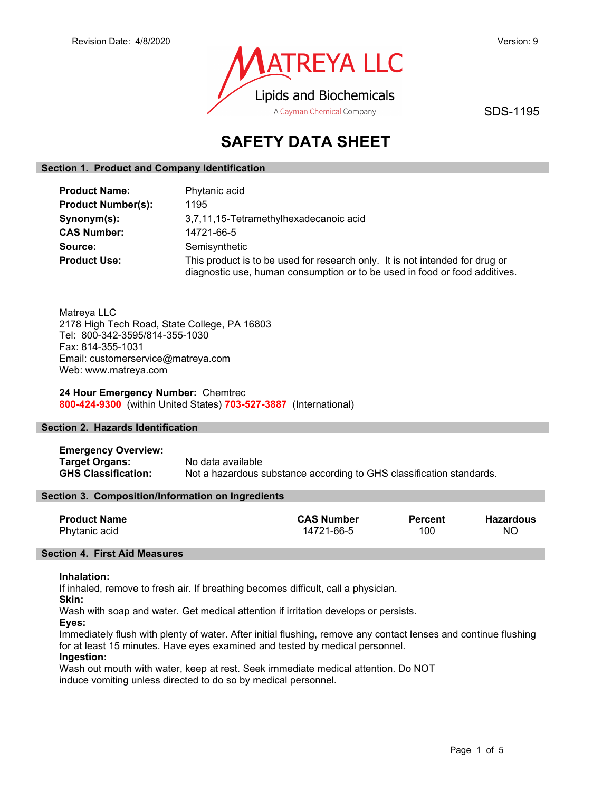

SDS-1195

# SAFETY DATA SHEET

# Section 1. Product and Company Identification

| <b>Product Name:</b>      | Phytanic acid                                                                                                                                              |
|---------------------------|------------------------------------------------------------------------------------------------------------------------------------------------------------|
| <b>Product Number(s):</b> | 1195                                                                                                                                                       |
| Synonym(s):               | 3,7,11,15-Tetramethylhexadecanoic acid                                                                                                                     |
| <b>CAS Number:</b>        | 14721-66-5                                                                                                                                                 |
| Source:                   | Semisynthetic                                                                                                                                              |
| <b>Product Use:</b>       | This product is to be used for research only. It is not intended for drug or<br>diagnostic use, human consumption or to be used in food or food additives. |

Matreya LLC 2178 High Tech Road, State College, PA 16803 Tel: 800-342-3595/814-355-1030 Fax: 814-355-1031 Email: customerservice@matreya.com Web: www.matreya.com

24 Hour Emergency Number: Chemtrec 800-424-9300 (within United States) 703-527-3887 (International)

# Section 2. Hazards Identification

Emergency Overview: Target Organs: No data available GHS Classification: Not a hazardous substance according to GHS classification standards.

## Section 3. Composition/Information on Ingredients

| <b>Product Name</b> | <b>CAS Number</b> | <b>Percent</b> | <b>Hazardous</b> |
|---------------------|-------------------|----------------|------------------|
| Phytanic acid       | 14721-66-5        | 100            | NO.              |

## Section 4. First Aid Measures

## Inhalation:

If inhaled, remove to fresh air. If breathing becomes difficult, call a physician.

Skin:

Wash with soap and water. Get medical attention if irritation develops or persists.

Eyes:

Immediately flush with plenty of water. After initial flushing, remove any contact lenses and continue flushing for at least 15 minutes. Have eyes examined and tested by medical personnel.

# Ingestion:

Wash out mouth with water, keep at rest. Seek immediate medical attention. Do NOT induce vomiting unless directed to do so by medical personnel.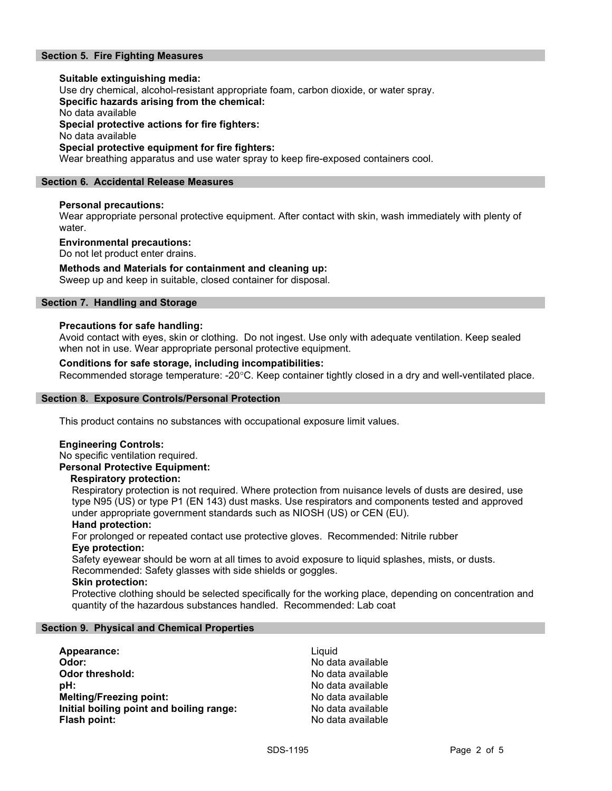# Section 5. Fire Fighting Measures

Suitable extinguishing media: Use dry chemical, alcohol-resistant appropriate foam, carbon dioxide, or water spray. Specific hazards arising from the chemical: No data available Special protective actions for fire fighters: No data available Special protective equipment for fire fighters: Wear breathing apparatus and use water spray to keep fire-exposed containers cool.

#### Section 6. Accidental Release Measures

#### Personal precautions:

Wear appropriate personal protective equipment. After contact with skin, wash immediately with plenty of water.

#### Environmental precautions:

Do not let product enter drains.

#### Methods and Materials for containment and cleaning up:

Sweep up and keep in suitable, closed container for disposal.

# Section 7. Handling and Storage

#### Precautions for safe handling:

Avoid contact with eyes, skin or clothing. Do not ingest. Use only with adequate ventilation. Keep sealed when not in use. Wear appropriate personal protective equipment.

## Conditions for safe storage, including incompatibilities:

Recommended storage temperature: -20°C. Keep container tightly closed in a dry and well-ventilated place.

#### Section 8. Exposure Controls/Personal Protection

This product contains no substances with occupational exposure limit values.

#### Engineering Controls:

No specific ventilation required. Personal Protective Equipment:

#### Respiratory protection:

Respiratory protection is not required. Where protection from nuisance levels of dusts are desired, use type N95 (US) or type P1 (EN 143) dust masks. Use respirators and components tested and approved under appropriate government standards such as NIOSH (US) or CEN (EU).

#### Hand protection:

For prolonged or repeated contact use protective gloves. Recommended: Nitrile rubber Eye protection:

Safety eyewear should be worn at all times to avoid exposure to liquid splashes, mists, or dusts. Recommended: Safety glasses with side shields or goggles.

#### Skin protection:

Protective clothing should be selected specifically for the working place, depending on concentration and quantity of the hazardous substances handled. Recommended: Lab coat

#### Section 9. Physical and Chemical Properties

| Appearance:                              | Liauid |
|------------------------------------------|--------|
| Odor:                                    | No dat |
| <b>Odor threshold:</b>                   | No dat |
| pH:                                      | No dat |
| <b>Melting/Freezing point:</b>           | No dat |
| Initial boiling point and boiling range: | No dat |
| Flash point:                             | No dat |

No data available No data available No data available No data available No data available No data available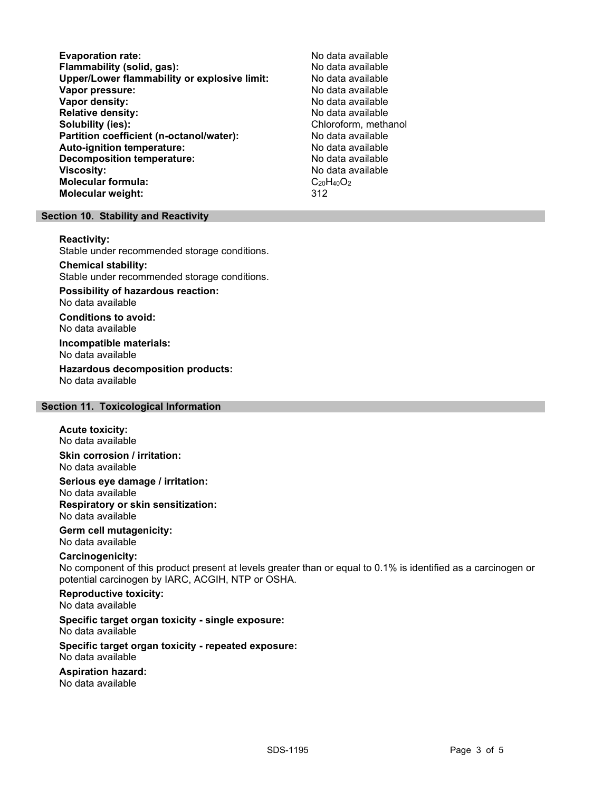Evaporation rate:<br>
Flammability (solid. gas): No data available Flammability (solid, gas):<br>
Upper/Lower flammability or explosive limit: No data available Upper/Lower flammability or explosive limit: Vapor pressure:  $\blacksquare$ Vapor density: No data available Relative density:<br>
Solubility (ies):<br>
Solubility (ies):<br>
Solubility (ies): Partition coefficient (n-octanol/water): No data available Auto-ignition temperature: No data available Decomposition temperature: No data available Viscosity: No data available Molecular formula:  $C_{20}H_{40}O_2$ Molecular weight: 312

Chloroform, methanol

#### Section 10. Stability and Reactivity

#### Reactivity:

Stable under recommended storage conditions.

#### Chemical stability:

Stable under recommended storage conditions.

# Possibility of hazardous reaction:

No data available

Conditions to avoid: No data available

#### Incompatible materials: No data available

Hazardous decomposition products: No data available

# Section 11. Toxicological Information

#### Acute toxicity: No data available

Skin corrosion / irritation: No data available

Serious eye damage / irritation: No data available Respiratory or skin sensitization: No data available

#### Germ cell mutagenicity: No data available

## Carcinogenicity:

No component of this product present at levels greater than or equal to 0.1% is identified as a carcinogen or potential carcinogen by IARC, ACGIH, NTP or OSHA.

# Reproductive toxicity:

No data available

# Specific target organ toxicity - single exposure:

No data available

#### Specific target organ toxicity - repeated exposure: No data available

# Aspiration hazard:

No data available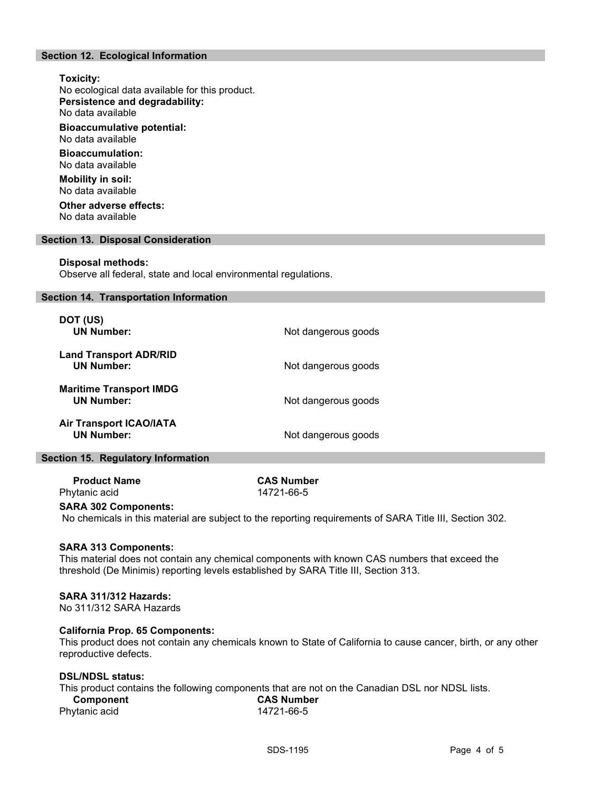# Section 12. Ecological Information

# Toxicity: No ecological data available for this product. Persistence and degradability: No data available Bioaccumulative potential: No data available Bioaccumulation: No data available Mobility in soil: No data available

Other adverse effects: No data available

#### Section 13. Disposal Consideration

#### Disposal methods:

Observe all federal, state and local environmental regulations.

#### Section 14. Transportation Information

| DOT (US)<br><b>UN Number:</b>                       | Not dangerous goods |
|-----------------------------------------------------|---------------------|
| <b>Land Transport ADR/RID</b><br><b>UN Number:</b>  | Not dangerous goods |
| <b>Maritime Transport IMDG</b><br><b>UN Number:</b> | Not dangerous goods |
| <b>Air Transport ICAO/IATA</b><br><b>UN Number:</b> | Not dangerous goods |

### Section 15. Regulatory Information

Product Name CAS Number Phytanic acid 14721-66-5

#### SARA 302 Components:

No chemicals in this material are subject to the reporting requirements of SARA Title III, Section 302.

#### SARA 313 Components:

This material does not contain any chemical components with known CAS numbers that exceed the threshold (De Minimis) reporting levels established by SARA Title III, Section 313.

#### SARA 311/312 Hazards:

No 311/312 SARA Hazards

#### California Prop. 65 Components:

This product does not contain any chemicals known to State of California to cause cancer, birth, or any other reproductive defects.

# DSL/NDSL status:

This product contains the following components that are not on the Canadian DSL nor NDSL lists.

| Component     | <b>CAS Number</b> |
|---------------|-------------------|
| Phytanic acid | 14721-66-5        |